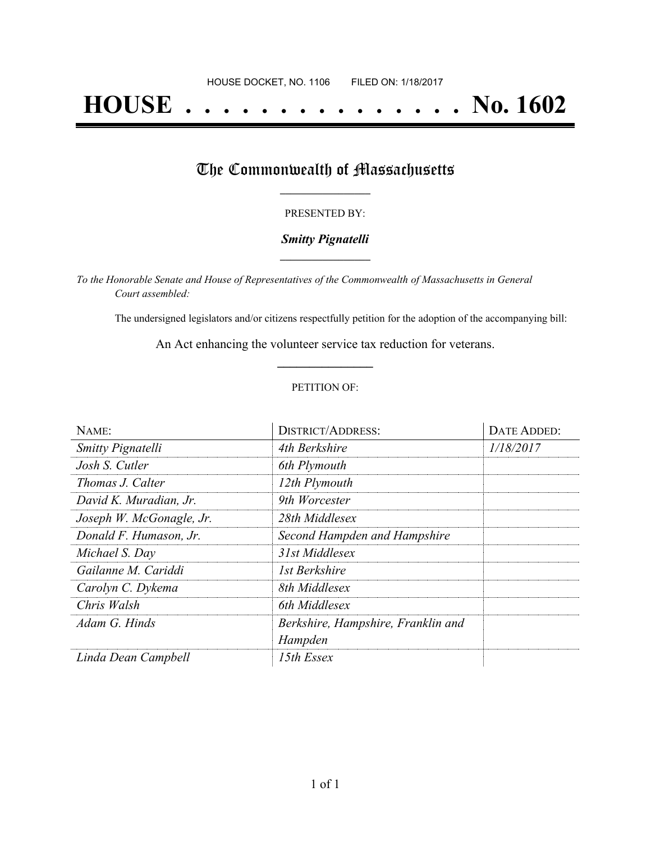# **HOUSE . . . . . . . . . . . . . . . No. 1602**

## The Commonwealth of Massachusetts

#### PRESENTED BY:

#### *Smitty Pignatelli* **\_\_\_\_\_\_\_\_\_\_\_\_\_\_\_\_\_**

*To the Honorable Senate and House of Representatives of the Commonwealth of Massachusetts in General Court assembled:*

The undersigned legislators and/or citizens respectfully petition for the adoption of the accompanying bill:

An Act enhancing the volunteer service tax reduction for veterans. **\_\_\_\_\_\_\_\_\_\_\_\_\_\_\_**

#### PETITION OF:

| NAME:                    | <b>DISTRICT/ADDRESS:</b>           | <b>DATE ADDED:</b> |
|--------------------------|------------------------------------|--------------------|
| Smitty Pignatelli        | 4th Berkshire                      | 1/18/2017          |
| Josh S. Cutler           | 6th Plymouth                       |                    |
| Thomas J. Calter         | 12th Plymouth                      |                    |
| David K. Muradian, Jr.   | 9th Worcester                      |                    |
| Joseph W. McGonagle, Jr. | 28th Middlesex                     |                    |
| Donald F. Humason, Jr.   | Second Hampden and Hampshire       |                    |
| Michael S. Day           | 31st Middlesex                     |                    |
| Gailanne M. Cariddi      | 1st Berkshire                      |                    |
| Carolyn C. Dykema        | 8th Middlesex                      |                    |
| Chris Walsh              | 6th Middlesex                      |                    |
| Adam G. Hinds            | Berkshire, Hampshire, Franklin and |                    |
|                          | Hampden                            |                    |
| Linda Dean Campbell      | 15th Essex                         |                    |